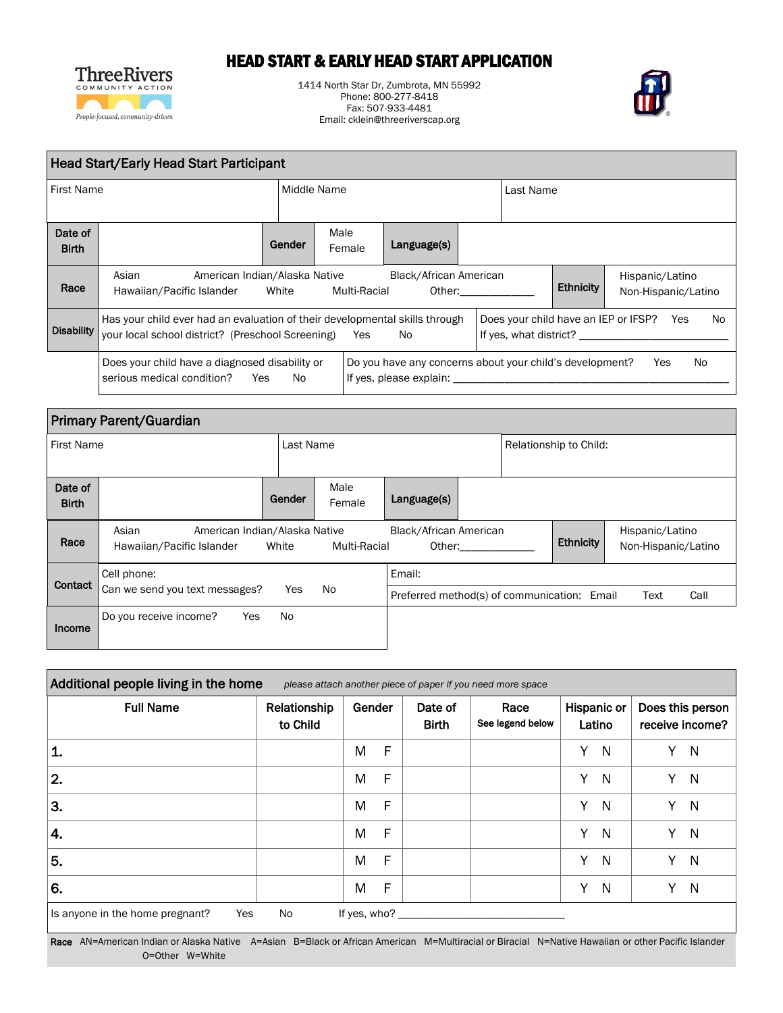

## HEAD START & EARLY HEAD START APPLICATION

1414 North Star Dr, Zumbrota, MN 55992 Phone: 800-277-8418 Fax: 507-933-4481 Email: cklein@threeriverscap.org



| Head Start/Early Head Start Participant |                                                                                                                                  |             |                |                                                                                     |                    |           |                        |                                                            |  |  |
|-----------------------------------------|----------------------------------------------------------------------------------------------------------------------------------|-------------|----------------|-------------------------------------------------------------------------------------|--------------------|-----------|------------------------|------------------------------------------------------------|--|--|
| <b>First Name</b>                       |                                                                                                                                  | Middle Name |                |                                                                                     |                    | Last Name |                        |                                                            |  |  |
| Date of<br><b>Birth</b>                 |                                                                                                                                  | Gender      | Male<br>Female | Language(s)                                                                         |                    |           |                        |                                                            |  |  |
| Race                                    | Asian<br>American Indian/Alaska Native<br>Hawaiian/Pacific Islander White                                                        |             | Multi-Racial   | Black/African American                                                              | Other: the control |           | <b>Ethnicity</b>       | Hispanic/Latino<br>Non-Hispanic/Latino                     |  |  |
| <b>Disability</b>                       | Has your child ever had an evaluation of their developmental skills through<br>your local school district? (Preschool Screening) |             | Yes            | No.                                                                                 |                    |           | If yes, what district? | N <sub>0</sub><br>Does your child have an IEP or IFSP? Yes |  |  |
|                                         | Does your child have a diagnosed disability or<br>serious medical condition?<br>Yes.                                             | No.         |                | Do you have any concerns about your child's development?<br>If yes, please explain: |                    |           |                        | No.<br>Yes                                                 |  |  |

| <b>Primary Parent/Guardian</b> |                                                                     |           |                |                                                       |        |                        |                  |                                        |  |
|--------------------------------|---------------------------------------------------------------------|-----------|----------------|-------------------------------------------------------|--------|------------------------|------------------|----------------------------------------|--|
| <b>First Name</b>              |                                                                     | Last Name |                |                                                       |        | Relationship to Child: |                  |                                        |  |
| Date of<br><b>Birth</b>        |                                                                     | Gender    | Male<br>Female | Language(s)                                           |        |                        |                  |                                        |  |
| Race                           | Asian<br>American Indian/Alaska Native<br>Hawaiian/Pacific Islander | White     | Multi-Racial   | Black/African American                                | Other: |                        | <b>Ethnicity</b> | Hispanic/Latino<br>Non-Hispanic/Latino |  |
| Contact                        | Cell phone:<br>Can we send you text messages?                       | Yes       | No             | Email:<br>Preferred method(s) of communication: Email |        |                        |                  | Call<br>Text                           |  |
| Income                         | Do you receive income?<br>Yes                                       | <b>No</b> |                |                                                       |        |                        |                  |                                        |  |

| Additional people living in the home<br>please attach another piece of paper if you need more space |                          |                   |                         |                          |                       |                                     |  |  |  |
|-----------------------------------------------------------------------------------------------------|--------------------------|-------------------|-------------------------|--------------------------|-----------------------|-------------------------------------|--|--|--|
| <b>Full Name</b>                                                                                    | Relationship<br>to Child | Gender            | Date of<br><b>Birth</b> | Race<br>See legend below | Hispanic or<br>Latino | Does this person<br>receive income? |  |  |  |
| 1.                                                                                                  |                          | $\mathsf F$<br>M  |                         |                          | Y.<br>-N              | Y<br>-N                             |  |  |  |
| 2.                                                                                                  |                          | $\mathsf{F}$<br>M |                         |                          | Y<br>N                | N<br>Y                              |  |  |  |
| 3.                                                                                                  |                          | F<br>M            |                         |                          | Y<br>N                | Y<br>N                              |  |  |  |
| $\mathbf{4}$ .                                                                                      |                          | F<br>M            |                         |                          | Y<br>N                | Y<br>N                              |  |  |  |
| 5.                                                                                                  |                          | F<br>M            |                         |                          | Y<br>N                | Y<br>N                              |  |  |  |
| 6.                                                                                                  |                          | F<br>M            |                         |                          | Y<br>N                | Y<br>N                              |  |  |  |
| No<br>If yes, who?<br>Is anyone in the home pregnant?<br>Yes                                        |                          |                   |                         |                          |                       |                                     |  |  |  |

Race AN=American Indian or Alaska Native A=Asian B=Black or African American M=Multiracial or Biracial N=Native Hawaiian or other Pacific Islander O=Other W=White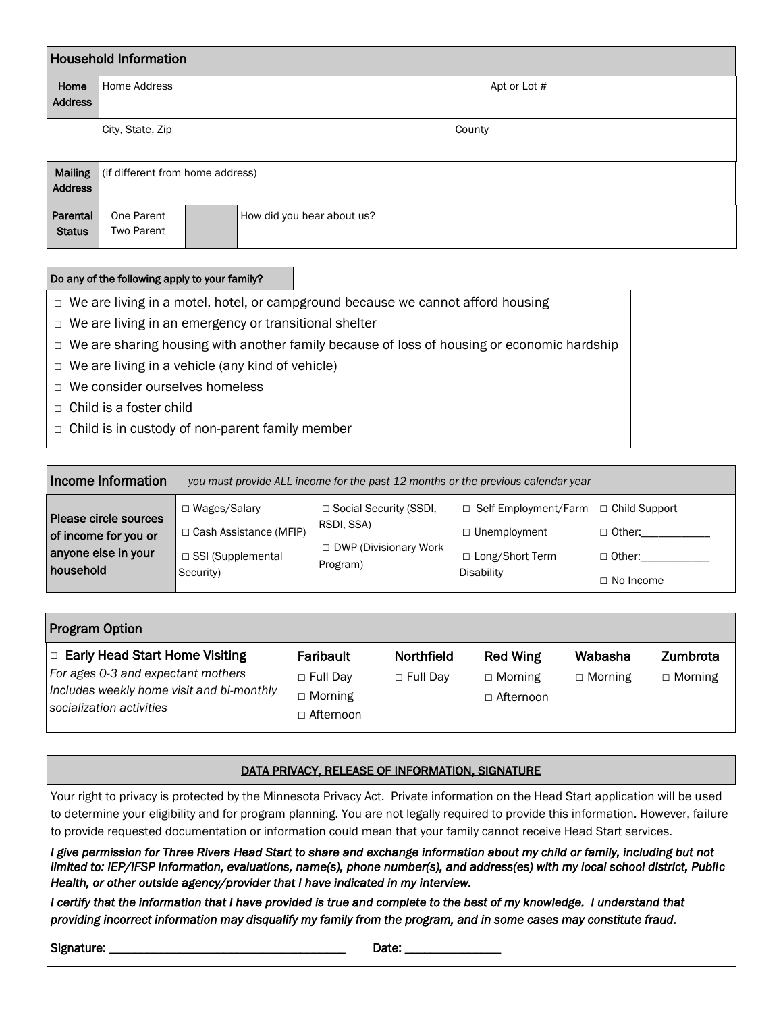| <b>Household Information</b>     |                                  |  |                            |  |              |  |  |  |
|----------------------------------|----------------------------------|--|----------------------------|--|--------------|--|--|--|
| Home<br><b>Address</b>           | Home Address                     |  |                            |  | Apt or Lot # |  |  |  |
|                                  | City, State, Zip                 |  |                            |  | County       |  |  |  |
| <b>Mailing</b><br><b>Address</b> | (if different from home address) |  |                            |  |              |  |  |  |
| Parental<br><b>Status</b>        | One Parent<br><b>Two Parent</b>  |  | How did you hear about us? |  |              |  |  |  |

### Do any of the following apply to your family?

□ We are living in a motel, hotel, or campground because we cannot afford housing

- □ We are living in an emergency or transitional shelter
- □ We are sharing housing with another family because of loss of housing or economic hardship
- $\Box$  We are living in a vehicle (any kind of vehicle)
- □ We consider ourselves homeless
- $\Box$  Child is a foster child
- $\Box$  Child is in custody of non-parent family member

| Income Information                                                   | you must provide ALL income for the past 12 months or the previous calendar year |                                                                               |                                                                                              |                                |  |  |  |  |  |
|----------------------------------------------------------------------|----------------------------------------------------------------------------------|-------------------------------------------------------------------------------|----------------------------------------------------------------------------------------------|--------------------------------|--|--|--|--|--|
| Please circle sources<br>of income for you or<br>anyone else in your | □ Wages/Salary<br>□ Cash Assistance (MFIP)<br>□ SSI (Supplemental                | □ Social Security (SSDI,<br>RSDI, SSA)<br>□ DWP (Divisionary Work<br>Program) | $\Box$ Self Employment/Farm $\Box$ Child Support<br>$\Box$ Unemployment<br>□ Long/Short Term | $\Box$ Other:<br>$\Box$ Other: |  |  |  |  |  |
| household                                                            | Security)                                                                        |                                                                               | <b>Disability</b>                                                                            | $\Box$ No Income               |  |  |  |  |  |

| <b>Program Option</b>                                                                                                                                |                                                                    |                               |                                                       |                           |                            |  |  |  |  |
|------------------------------------------------------------------------------------------------------------------------------------------------------|--------------------------------------------------------------------|-------------------------------|-------------------------------------------------------|---------------------------|----------------------------|--|--|--|--|
| $\Box$ Early Head Start Home Visiting<br>For ages 0-3 and expectant mothers<br>Includes weekly home visit and bi-monthly<br>socialization activities | Faribault<br>$\Box$ Full Day<br>$\Box$ Morning<br>$\Box$ Afternoon | Northfield<br>$\Box$ Full Day | <b>Red Wing</b><br>$\Box$ Morning<br>$\Box$ Afternoon | Wabasha<br>$\Box$ Morning | Zumbrota<br>$\Box$ Morning |  |  |  |  |

### DATA PRIVACY, RELEASE OF INFORMATION, SIGNATURE

Your right to privacy is protected by the Minnesota Privacy Act. Private information on the Head Start application will be used to determine your eligibility and for program planning. You are not legally required to provide this information. However, failure to provide requested documentation or information could mean that your family cannot receive Head Start services.

*I give permission for Three Rivers Head Start to share and exchange information about my child or family, including but not limited to: IEP/IFSP information, evaluations, name(s), phone number(s), and address(es) with my local school district, Public Health, or other outside agency/provider that I have indicated in my interview.* 

*I* certify that the information that *I* have provided is true and complete to the best of my knowledge. I understand that *providing incorrect information may disqualify my family from the program, and in some cases may constitute fraud.* 

Signature: \_\_\_\_\_\_\_\_\_\_\_\_\_\_\_\_\_\_\_\_\_\_\_\_\_\_\_\_\_\_\_\_\_\_\_\_\_ Date: \_\_\_\_\_\_\_\_\_\_\_\_\_\_\_